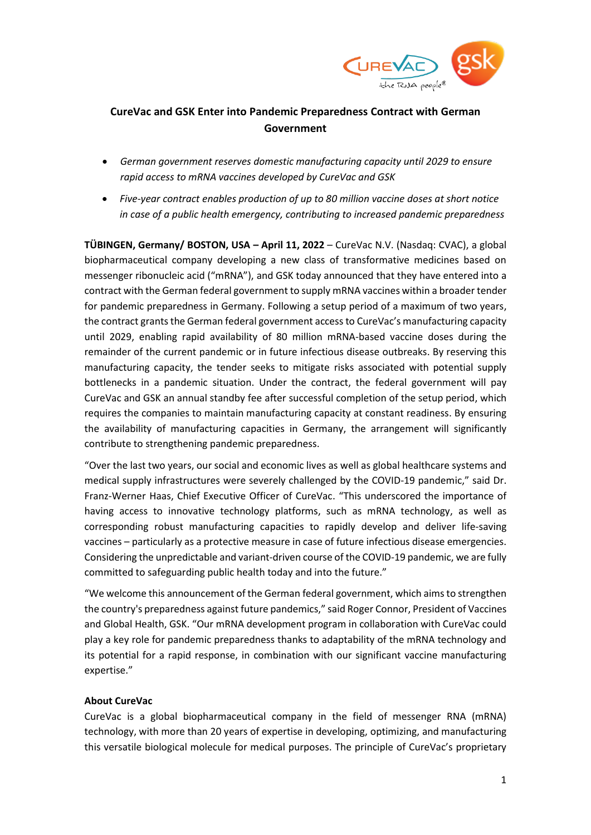

# **CureVac and GSK Enter into Pandemic Preparedness Contract with German Government**

- *German government reserves domestic manufacturing capacity until 2029 to ensure rapid access to mRNA vaccines developed by CureVac and GSK*
- *Five-year contract enables production of up to 80 million vaccine doses at short notice in case of a public health emergency, contributing to increased pandemic preparedness*

**TÜBINGEN, Germany/ BOSTON, USA – April 11, 2022** – CureVac N.V. (Nasdaq: CVAC), a global biopharmaceutical company developing a new class of transformative medicines based on messenger ribonucleic acid ("mRNA"), and GSK today announced that they have entered into a contract with the German federal government to supply mRNA vaccines within a broader tender for pandemic preparedness in Germany. Following a setup period of a maximum of two years, the contract grants the German federal government access to CureVac's manufacturing capacity until 2029, enabling rapid availability of 80 million mRNA-based vaccine doses during the remainder of the current pandemic or in future infectious disease outbreaks. By reserving this manufacturing capacity, the tender seeks to mitigate risks associated with potential supply bottlenecks in a pandemic situation. Under the contract, the federal government will pay CureVac and GSK an annual standby fee after successful completion of the setup period, which requires the companies to maintain manufacturing capacity at constant readiness. By ensuring the availability of manufacturing capacities in Germany, the arrangement will significantly contribute to strengthening pandemic preparedness.

"Over the last two years, our social and economic lives as well as global healthcare systems and medical supply infrastructures were severely challenged by the COVID-19 pandemic," said Dr. Franz-Werner Haas, Chief Executive Officer of CureVac. "This underscored the importance of having access to innovative technology platforms, such as mRNA technology, as well as corresponding robust manufacturing capacities to rapidly develop and deliver life-saving vaccines – particularly as a protective measure in case of future infectious disease emergencies. Considering the unpredictable and variant-driven course of the COVID-19 pandemic, we are fully committed to safeguarding public health today and into the future."

"We welcome this announcement of the German federal government, which aims to strengthen the country's preparedness against future pandemics," said Roger Connor, President of Vaccines and Global Health, GSK. "Our mRNA development program in collaboration with CureVac could play a key role for pandemic preparedness thanks to adaptability of the mRNA technology and its potential for a rapid response, in combination with our significant vaccine manufacturing expertise."

# **About CureVac**

CureVac is a global biopharmaceutical company in the field of messenger RNA (mRNA) technology, with more than 20 years of expertise in developing, optimizing, and manufacturing this versatile biological molecule for medical purposes. The principle of CureVac's proprietary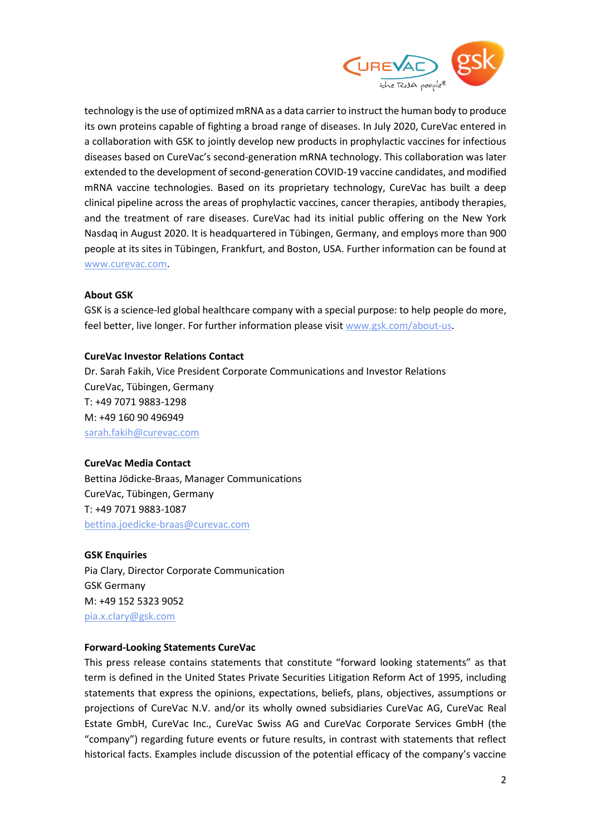

technology is the use of optimized mRNA as a data carrier to instruct the human body to produce its own proteins capable of fighting a broad range of diseases. In July 2020, CureVac entered in a collaboration with GSK to jointly develop new products in prophylactic vaccines for infectious diseases based on CureVac's second-generation mRNA technology. This collaboration was later extended to the development of second-generation COVID-19 vaccine candidates, and modified mRNA vaccine technologies. Based on its proprietary technology, CureVac has built a deep clinical pipeline across the areas of prophylactic vaccines, cancer therapies, antibody therapies, and the treatment of rare diseases. CureVac had its initial public offering on the New York Nasdaq in August 2020. It is headquartered in Tübingen, Germany, and employs more than 900 people at its sites in Tübingen, Frankfurt, and Boston, USA. Further information can be found at [www.curevac.com.](http://www.curevac.com/)

### **About GSK**

GSK is a science-led global healthcare company with a special purpose: to help people do more, feel better, live longer. For further information please visit [www.gsk.com/about-us.](file://///curevac.local/docs/filestore/Communications/External%20Communication/Press%20Releases/Press%20Releases%202021/202108xx_CV2CoV%20CVnCoV%20NHP%20Data/www.gsk.com/about-us)

### **CureVac Investor Relations Contact**

Dr. Sarah Fakih, Vice President Corporate Communications and Investor Relations CureVac, Tübingen, Germany T: +49 7071 9883-1298 M: +49 160 90 496949 [sarah.fakih@curevac.com](mailto:sarah.fakih@curevac.com)

# **CureVac Media Contact**

Bettina Jödicke-Braas, Manager Communications CureVac, Tübingen, Germany T: +49 7071 9883-1087 [bettina.joedicke-braas@curevac.com](mailto:bettina.joedicke-braas@curevac.com)

### **GSK Enquiries**

Pia Clary, Director Corporate Communication GSK Germany M: +49 152 5323 9052 [pia.x.clary@gsk.com](mailto:pia.x.clary@gsk.com)

# **Forward-Looking Statements CureVac**

This press release contains statements that constitute "forward looking statements" as that term is defined in the United States Private Securities Litigation Reform Act of 1995, including statements that express the opinions, expectations, beliefs, plans, objectives, assumptions or projections of CureVac N.V. and/or its wholly owned subsidiaries CureVac AG, CureVac Real Estate GmbH, CureVac Inc., CureVac Swiss AG and CureVac Corporate Services GmbH (the "company") regarding future events or future results, in contrast with statements that reflect historical facts. Examples include discussion of the potential efficacy of the company's vaccine